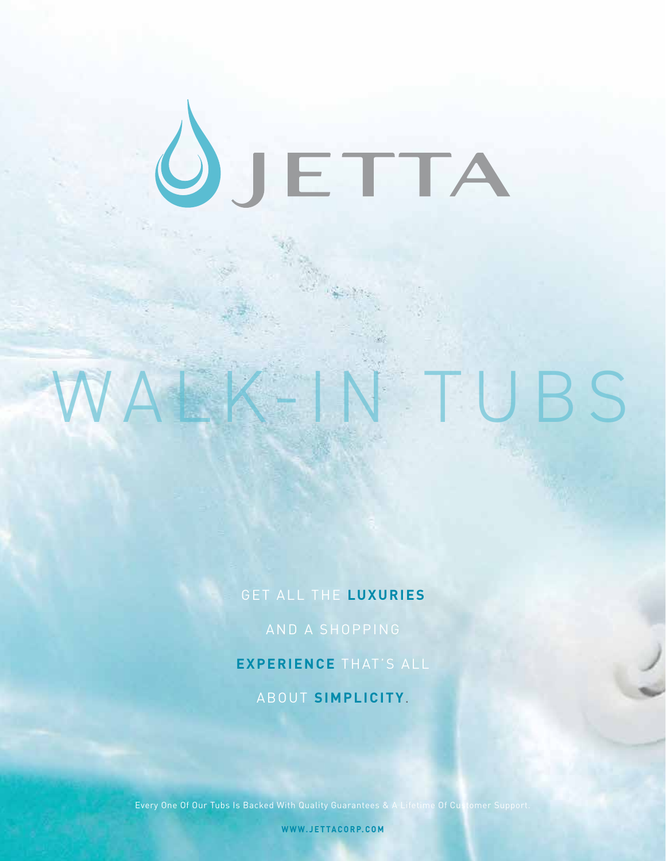# ÔJETTA

# TUBS

#### GET ALL THE LUXURIES

#### **EXPERIENCE** THAT'S ALL

#### ABOUT **SIMPLICITY**.

Every One Of Our Tubs Is Backed With Quality Guarantees & A Lifetime Of Customer Support.

**WWW.JETTACORP.COM**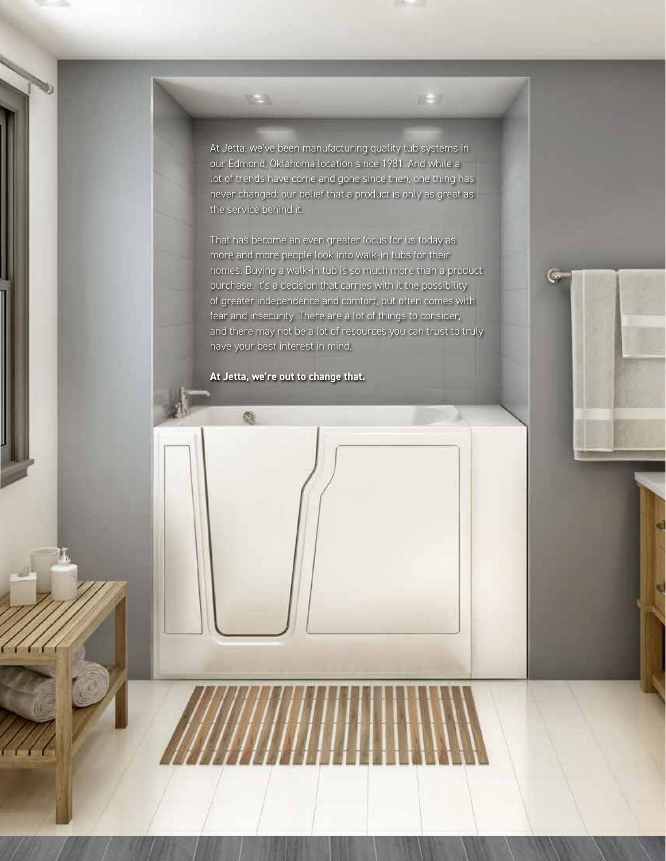At Jetta, we've been manufacturing quality tub systems in our Edmond, Oklahoma location since 1981. And while a lot of trends have come and gone since then, one thing has never changed: our belief that a product is only as great as the service behind it.

That has become an even greater focus for us today as more and more people look into walk-in tubs for their homes. Buying a walk-in tub is so much more than a product purchase. It's a decision that carries with it the possibility of greater independence and comfort, but often comes with fear and insecurity. There are a lot of things to consider, and there may not be a lot of resources you can trust to truly have your best interest in mind.

**At Jetta, we're out to change that.**

偬

**CAL**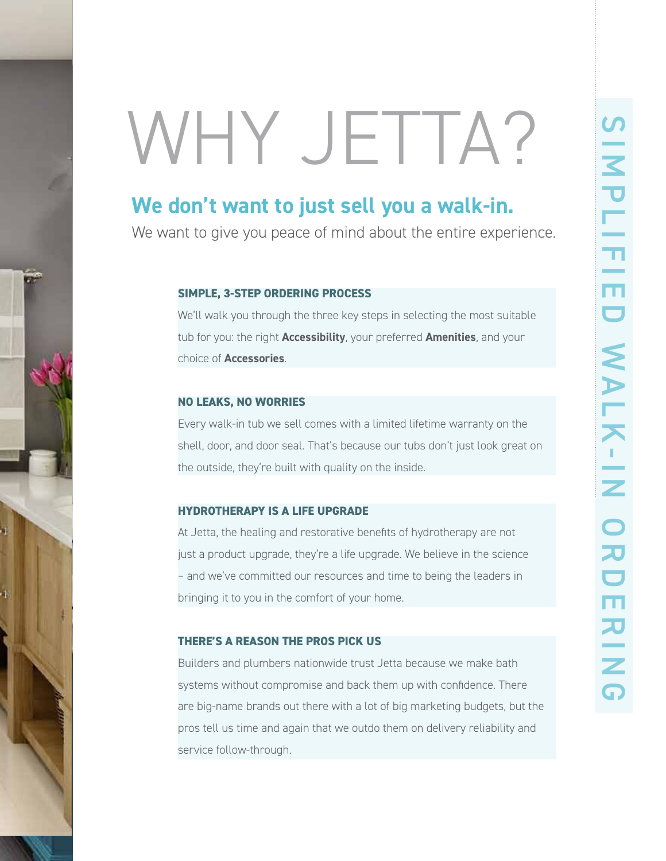# WHY JETTA?

### **We don't want to just sell you a walk-in.**

We want to give you peace of mind about the entire experience.

#### **SIMPLE, 3-STEP ORDERING PROCESS**

We'll walk you through the three key steps in selecting the most suitable tub for you: the right **Accessibility**, your preferred **Amenities**, and your choice of **Accessories**.

#### **NO LEAKS, NO WORRIES**

Every walk-in tub we sell comes with a limited lifetime warranty on the shell, door, and door seal. That's because our tubs don't just look great on the outside, they're built with quality on the inside.

#### **HYDROTHERAPY IS A LIFE UPGRADE**

At Jetta, the healing and restorative benefits of hydrotherapy are not just a product upgrade, they're a life upgrade. We believe in the science – and we've committed our resources and time to being the leaders in bringing it to you in the comfort of your home.

#### **THERE'S A REASON THE PROS PICK US**

Builders and plumbers nationwide trust Jetta because we make bath systems without compromise and back them up with confidence. There are big-name brands out there with a lot of big marketing budgets, but the pros tell us time and again that we outdo them on delivery reliability and service follow-through.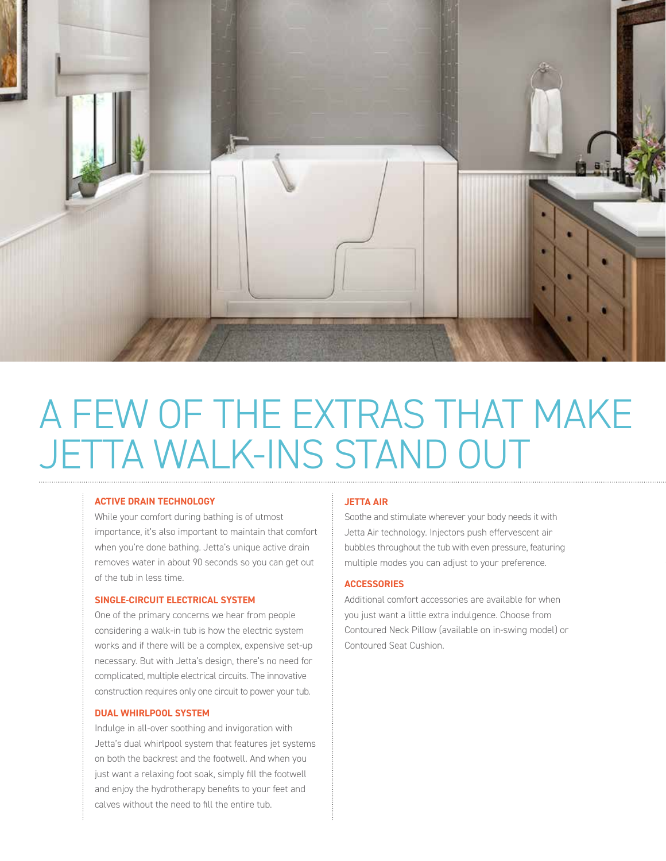

# A FEW OF THE EXTRAS THAT MAKE JETTA WALK-INS STAND OUT

#### **ACTIVE DRAIN TECHNOLOGY**

While your comfort during bathing is of utmost importance, it's also important to maintain that comfort when you're done bathing. Jetta's unique active drain removes water in about 90 seconds so you can get out of the tub in less time.

#### **SINGLE-CIRCUIT ELECTRICAL SYSTEM**

One of the primary concerns we hear from people considering a walk-in tub is how the electric system works and if there will be a complex, expensive set-up necessary. But with Jetta's design, there's no need for complicated, multiple electrical circuits. The innovative construction requires only one circuit to power your tub.

#### **DUAL WHIRLPOOL SYSTEM**

Indulge in all-over soothing and invigoration with Jetta's dual whirlpool system that features jet systems on both the backrest and the footwell. And when you just want a relaxing foot soak, simply fill the footwell and enjoy the hydrotherapy benefits to your feet and calves without the need to fill the entire tub.

#### **JETTA AIR**

Soothe and stimulate wherever your body needs it with Jetta Air technology. Injectors push effervescent air bubbles throughout the tub with even pressure, featuring multiple modes you can adjust to your preference.

#### **ACCESSORIES**

Additional comfort accessories are available for when you just want a little extra indulgence. Choose from Contoured Neck Pillow (available on in-swing model) or Contoured Seat Cushion.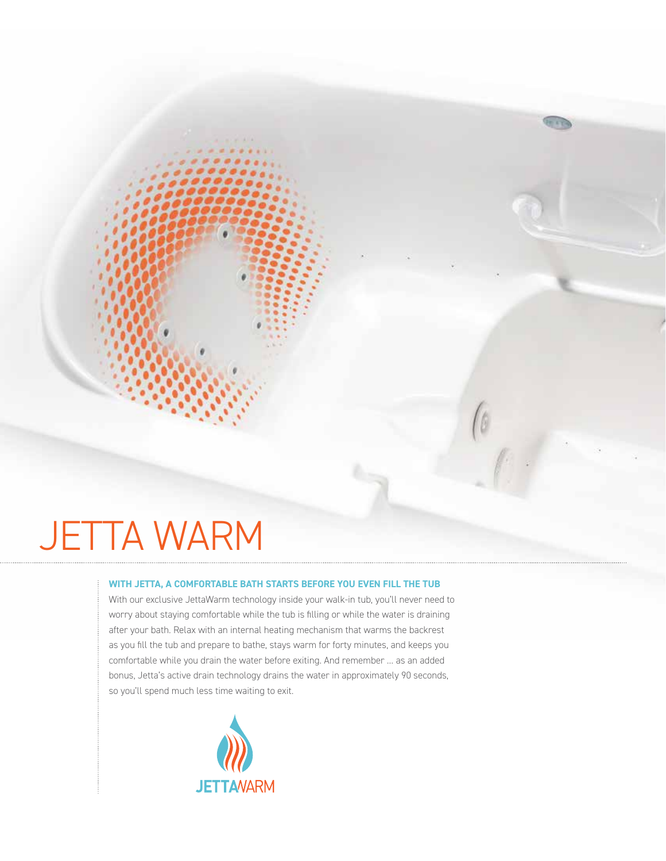# JETTA WARM

#### **WITH JETTA, A COMFORTABLE BATH STARTS BEFORE YOU EVEN FILL THE TUB**

With our exclusive JettaWarm technology inside your walk-in tub, you'll never need to worry about staying comfortable while the tub is filling or while the water is draining after your bath. Relax with an internal heating mechanism that warms the backrest as you fill the tub and prepare to bathe, stays warm for forty minutes, and keeps you comfortable while you drain the water before exiting. And remember … as an added bonus, Jetta's active drain technology drains the water in approximately 90 seconds, so you'll spend much less time waiting to exit.

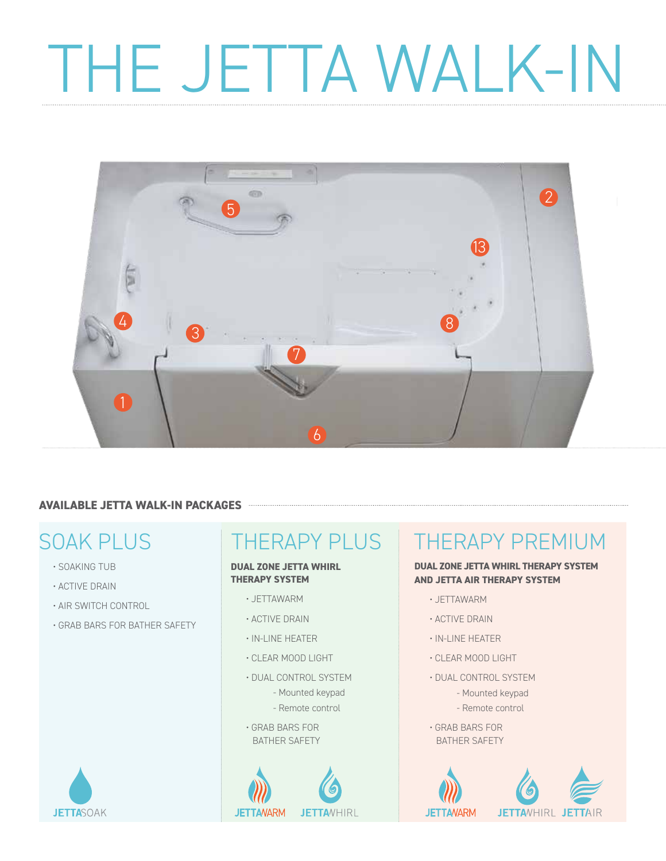# THE JETTA WALK-IN



#### **AVAILABLE JETTA WALK-IN PACKAGES**

- SOAKING TUB
- ACTIVE DRAIN

**JETTASOAK** 

- AIR SWITCH CONTROL
- GRAB BARS FOR BATHER SAFETY

#### **DUAL ZONE JETTA WHIRL THERAPY SYSTEM**

- JETTAWARM
- ACTIVE DRAIN
- IN-LINE HEATER
- CLEAR MOOD LIGHT
- DUAL CONTROL SYSTEM
	- Mounted keypad
	- Remote control
- GRAB BARS FOR BATHER SAFETY



## SOAK PLUS THERAPY PLUS THERAPY PREMIUM

#### **DUAL ZONE JETTA WHIRL THERAPY SYSTEM AND JETTA AIR THERAPY SYSTEM**

- JETTAWARM
- ACTIVE DRAIN
- IN-LINE HEATER
- CLEAR MOOD LIGHT
- DUAL CONTROL SYSTEM
	- Mounted keypad - Remote control
- GRAB BARS FOR BATHER SAFETY

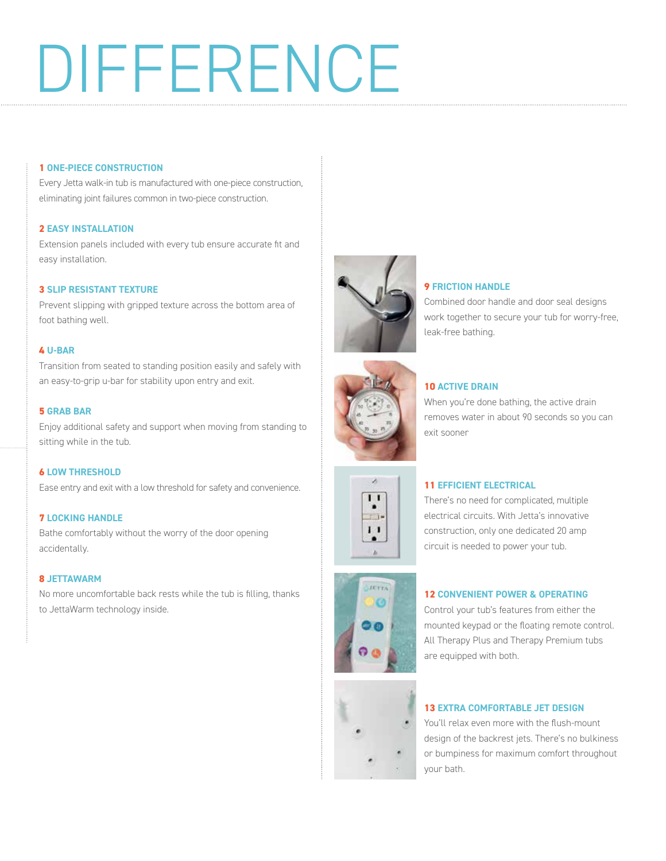# DIFFERENCE

#### **1 ONE-PIECE CONSTRUCTION**

Every Jetta walk-in tub is manufactured with one-piece construction, eliminating joint failures common in two-piece construction.

#### **2 EASY INSTALLATION**

Extension panels included with every tub ensure accurate fit and easy installation.

#### **3 SLIP RESISTANT TEXTURE**

Prevent slipping with gripped texture across the bottom area of foot bathing well.

#### **4 U-BAR**

Transition from seated to standing position easily and safely with an easy-to-grip u-bar for stability upon entry and exit.

#### **5 GRAB BAR**

Enjoy additional safety and support when moving from standing to sitting while in the tub.

#### **6 LOW THRESHOLD**

Ease entry and exit with a low threshold for safety and convenience.

#### **7 LOCKING HANDLE**

Bathe comfortably without the worry of the door opening accidentally.

#### **8 JETTAWARM**

No more uncomfortable back rests while the tub is filling, thanks to JettaWarm technology inside.



#### **9 FRICTION HANDLE**

Combined door handle and door seal designs work together to secure your tub for worry-free, leak-free bathing.



#### **10 ACTIVE DRAIN**

When you're done bathing, the active drain removes water in about 90 seconds so you can exit sooner



#### **11 EFFICIENT ELECTRICAL**

There's no need for complicated, multiple electrical circuits. With Jetta's innovative construction, only one dedicated 20 amp circuit is needed to power your tub.



#### **12 CONVENIENT POWER & OPERATING**

Control your tub's features from either the mounted keypad or the floating remote control. All Therapy Plus and Therapy Premium tubs are equipped with both.

#### **13 EXTRA COMFORTABLE JET DESIGN**

You'll relax even more with the flush-mount design of the backrest jets. There's no bulkiness or bumpiness for maximum comfort throughout your bath.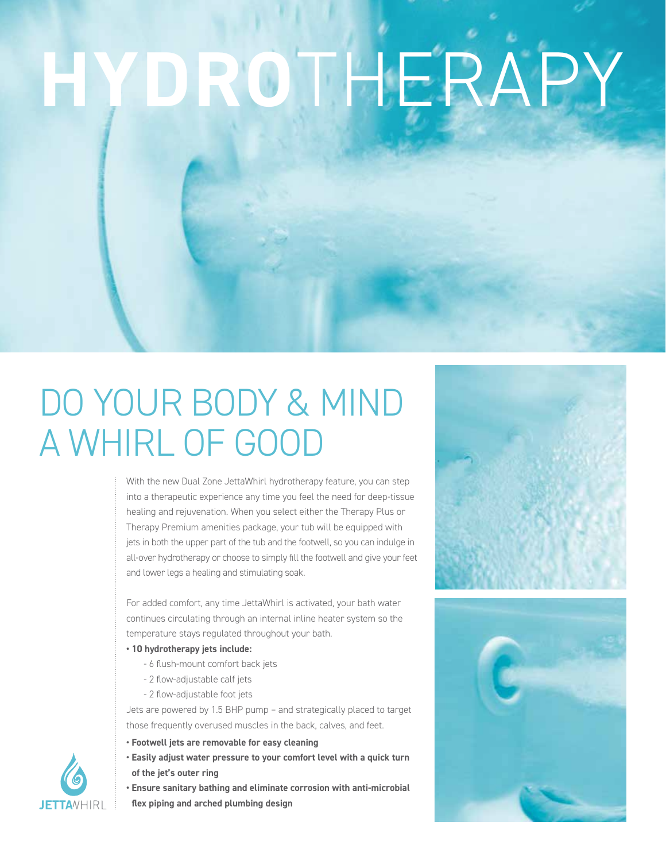# **HYDRO**THERAPY

# DO YOUR BODY & MIND A WHIRL OF GOOD

With the new Dual Zone JettaWhirl hydrotherapy feature, you can step into a therapeutic experience any time you feel the need for deep-tissue healing and rejuvenation. When you select either the Therapy Plus or Therapy Premium amenities package, your tub will be equipped with jets in both the upper part of the tub and the footwell, so you can indulge in all-over hydrotherapy or choose to simply fill the footwell and give your feet and lower legs a healing and stimulating soak.

For added comfort, any time JettaWhirl is activated, your bath water continues circulating through an internal inline heater system so the temperature stays regulated throughout your bath.

- **10 hydrotherapy jets include:**
	- 6 flush-mount comfort back jets
	- 2 flow-adjustable calf jets
	- 2 flow-adjustable foot jets

Jets are powered by 1.5 BHP pump – and strategically placed to target those frequently overused muscles in the back, calves, and feet.

- **Footwell jets are removable for easy cleaning**
- **Easily adjust water pressure to your comfort level with a quick turn of the jet's outer ring**
- **Ensure sanitary bathing and eliminate corrosion with anti-microbial flex piping and arched plumbing design**





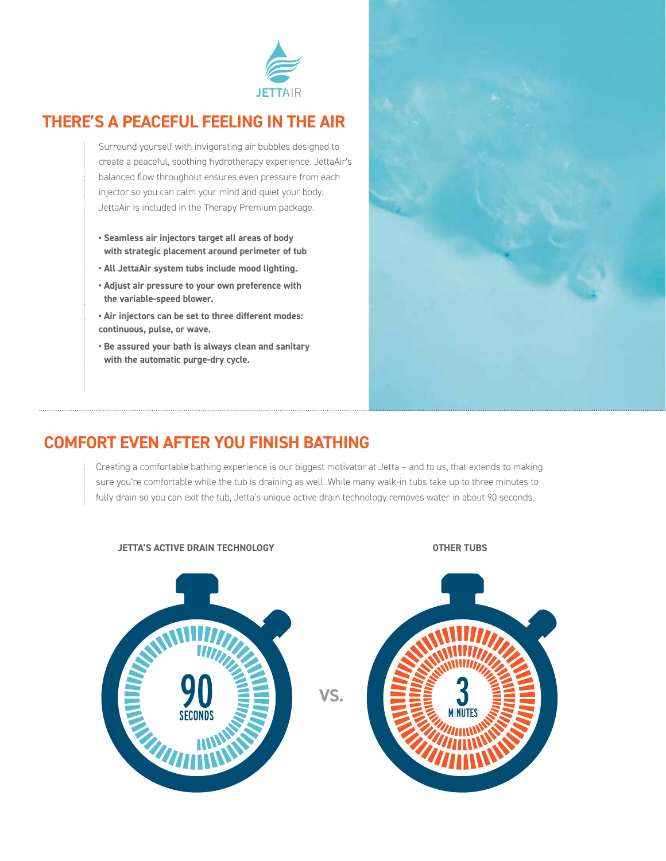

#### **THERE'S A PEACEFUL FEELING IN THE AIR**

Surround yourself with invigorating air bubbles designed to create a peaceful, soothing hydrotherapy experience. JettaAir's balanced flow throughout ensures even pressure from each injector so you can calm your mind and quiet your body. JettaAir is included in the Therapy Premium package.

- **Seamless air injectors target all areas of body with strategic placement around perimeter of tub**
- **All JettaAir system tubs include mood lighting.**
- **Adjust air pressure to your own preference with the variable-speed blower.**
- **Air injectors can be set to three different modes: continuous, pulse, or wave.**
- **Be assured your bath is always clean and sanitary with the automatic purge-dry cycle.**



#### **COMFORT EVEN AFTER YOU FINISH BATHING**

Creating a comfortable bathing experience is our biggest motivator at Jetta – and to us, that extends to making sure you're comfortable while the tub is draining as well. While many walk-in tubs take up to three minutes to fully drain so you can exit the tub, Jetta's unique active drain technology removes water in about 90 seconds.



#### **JETTA'S ACTIVE DRAIN TECHNOLOGY OTHER TUBS**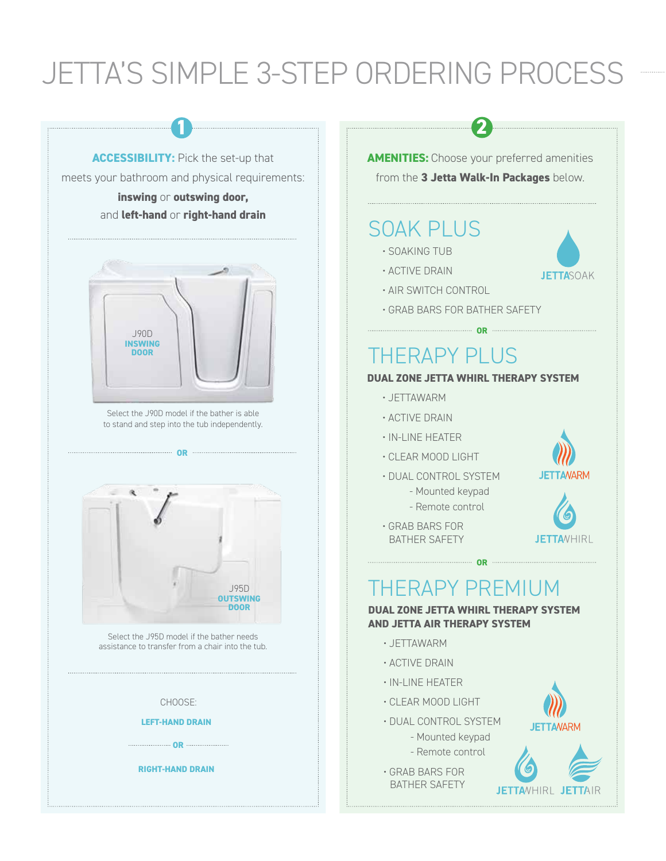## JETTA'S SIMPLE 3-STEP ORDERING PROCESS

**1 2**



meets your bathroom and physical requirements:

#### **inswing** or **outswing door,** and **left-hand** or **right-hand drain**



Select the J90D model if the bather is able to stand and step into the tub independently.

**OR EXECUTIVE CONSUMING CONTRACT OR AN INCOME.** 



Select the J95D model if the bather needs assistance to transfer from a chair into the tub.

#### CHOOSE:

**LEFT-HAND DRAIN**

**OR**

**RIGHT-HAND DRAIN**

**AMENITIES:** Choose your preferred amenities from the **3 Jetta Walk-In Packages** below.

#### SOAK PLUS

- SOAKING TUB
- ACTIVE DRAIN
- AIR SWITCH CONTROL
- GRAB BARS FOR BATHER SAFETY

### THERAPY PLUS

#### **DUAL ZONE JETTA WHIRL THERAPY SYSTEM**

**OR**

- JETTAWARM
- ACTIVE DRAIN
- IN-LINE HEATER
- CLEAR MOOD LIGHT
- DUAL CONTROL SYSTEM - Mounted keypad

- Remote control



**JETTANARM** 

**JETTA**VHIRL

**JETTASOAK** 

• GRAB BARS FOR BATHER SAFETY

### THERAPY PREMIUM

**DUAL ZONE JETTA WHIRL THERAPY SYSTEM AND JETTA AIR THERAPY SYSTEM**

**OR CONSTRUCTER** 

- JETTAWARM
- ACTIVE DRAIN
- IN-LINE HEATER
- CLEAR MOOD LIGHT
- DUAL CONTROL SYSTEM - Mounted keypad
	- Remote control
- GRAB BARS FOR BATHER SAFETY



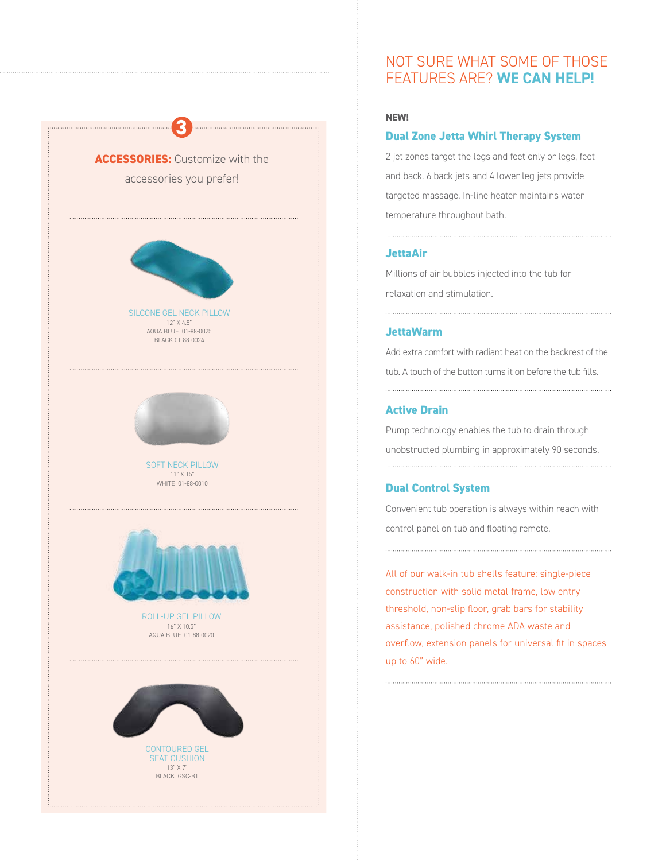

CONTOURED GEL SEAT CUSHION 13" X 7"

BLACK GSC-B1

**NEW!** 

#### **Dual Zone Jetta Whirl Therapy System**

NOT SURE WHAT SOME OF THOSE FEATURES ARE? **WE CAN HELP!**

2 jet zones target the legs and feet only or legs, feet and back. 6 back jets and 4 lower leg jets provide targeted massage. In-line heater maintains water temperature throughout bath.

#### **JettaAir**

Millions of air bubbles injected into the tub for relaxation and stimulation.

#### **JettaWarm**

Add extra comfort with radiant heat on the backrest of the tub. A touch of the button turns it on before the tub fills.

#### **Active Drain**

Pump technology enables the tub to drain through unobstructed plumbing in approximately 90 seconds.

#### **Dual Control System**

Convenient tub operation is always within reach with control panel on tub and floating remote.

All of our walk-in tub shells feature: single-piece construction with solid metal frame, low entry threshold, non-slip floor, grab bars for stability assistance, polished chrome ADA waste and overflow, extension panels for universal fit in spaces up to 60" wide.